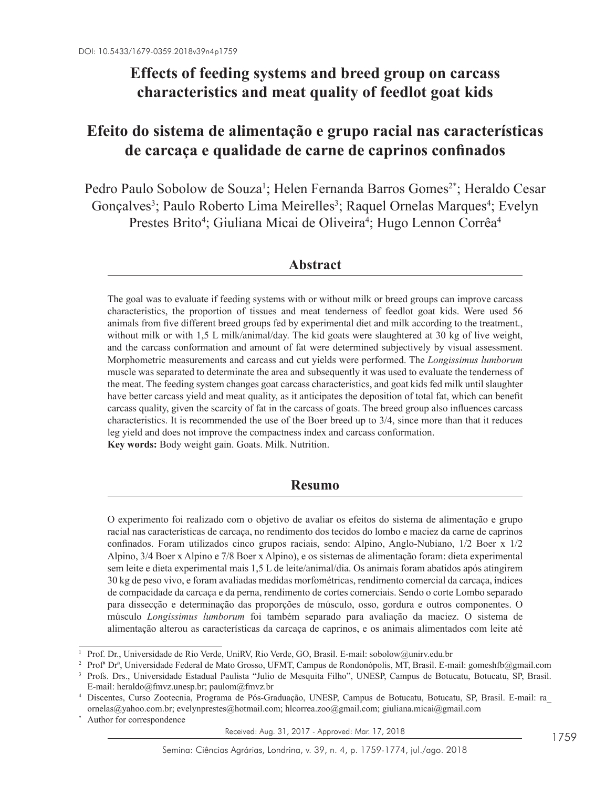# **Effects of feeding systems and breed group on carcass characteristics and meat quality of feedlot goat kids**

# **Efeito do sistema de alimentação e grupo racial nas características de carcaça e qualidade de carne de caprinos confinados**

Pedro Paulo Sobolow de Souza<sup>1</sup>; Helen Fernanda Barros Gomes<sup>2\*</sup>; Heraldo Cesar Gonçalves<sup>3</sup>; Paulo Roberto Lima Meirelles<sup>3</sup>; Raquel Ornelas Marques<sup>4</sup>; Evelyn Prestes Brito<sup>4</sup>; Giuliana Micai de Oliveira<sup>4</sup>; Hugo Lennon Corrêa<sup>4</sup>

## **Abstract**

The goal was to evaluate if feeding systems with or without milk or breed groups can improve carcass characteristics, the proportion of tissues and meat tenderness of feedlot goat kids. Were used 56 animals from five different breed groups fed by experimental diet and milk according to the treatment., without milk or with 1,5 L milk/animal/day. The kid goats were slaughtered at 30 kg of live weight, and the carcass conformation and amount of fat were determined subjectively by visual assessment. Morphometric measurements and carcass and cut yields were performed. The *Longissimus lumborum* muscle was separated to determinate the area and subsequently it was used to evaluate the tenderness of the meat. The feeding system changes goat carcass characteristics, and goat kids fed milk until slaughter have better carcass yield and meat quality, as it anticipates the deposition of total fat, which can benefit carcass quality, given the scarcity of fat in the carcass of goats. The breed group also influences carcass characteristics. It is recommended the use of the Boer breed up to 3/4, since more than that it reduces leg yield and does not improve the compactness index and carcass conformation. **Key words:** Body weight gain. Goats. Milk. Nutrition.

## **Resumo**

O experimento foi realizado com o objetivo de avaliar os efeitos do sistema de alimentação e grupo racial nas características de carcaça, no rendimento dos tecidos do lombo e maciez da carne de caprinos confinados. Foram utilizados cinco grupos raciais, sendo: Alpino, Anglo-Nubiano, 1/2 Boer x 1/2 Alpino, 3/4 Boer x Alpino e 7/8 Boer x Alpino), e os sistemas de alimentação foram: dieta experimental sem leite e dieta experimental mais 1,5 L de leite/animal/dia. Os animais foram abatidos após atingirem 30 kg de peso vivo, e foram avaliadas medidas morfométricas, rendimento comercial da carcaça, índices de compacidade da carcaça e da perna, rendimento de cortes comerciais. Sendo o corte Lombo separado para dissecção e determinação das proporções de músculo, osso, gordura e outros componentes. O músculo *Longissimus lumborum* foi também separado para avaliação da maciez. O sistema de alimentação alterou as características da carcaça de caprinos, e os animais alimentados com leite até

<sup>&</sup>lt;sup>1</sup> Prof. Dr., Universidade de Rio Verde, UniRV, Rio Verde, GO, Brasil. E-mail: sobolow@unirv.edu.br

<sup>2</sup> Profª Drª, Universidade Federal de Mato Grosso, UFMT, Campus de Rondonópolis, MT, Brasil. E-mail: gomeshfb@gmail.com

<sup>3</sup> Profs. Drs., Universidade Estadual Paulista "Julio de Mesquita Filho", UNESP, Campus de Botucatu, Botucatu, SP, Brasil. E-mail: heraldo@fmvz.unesp.br; paulom@fmvz.br

<sup>4</sup> Discentes, Curso Zootecnia, Programa de Pós-Graduação, UNESP, Campus de Botucatu, Botucatu, SP, Brasil. E-mail: ra\_ ornelas@yahoo.com.br; evelynprestes@hotmail.com; hlcorrea.zoo@gmail.com; giuliana.micai@gmail.com

Author for correspondence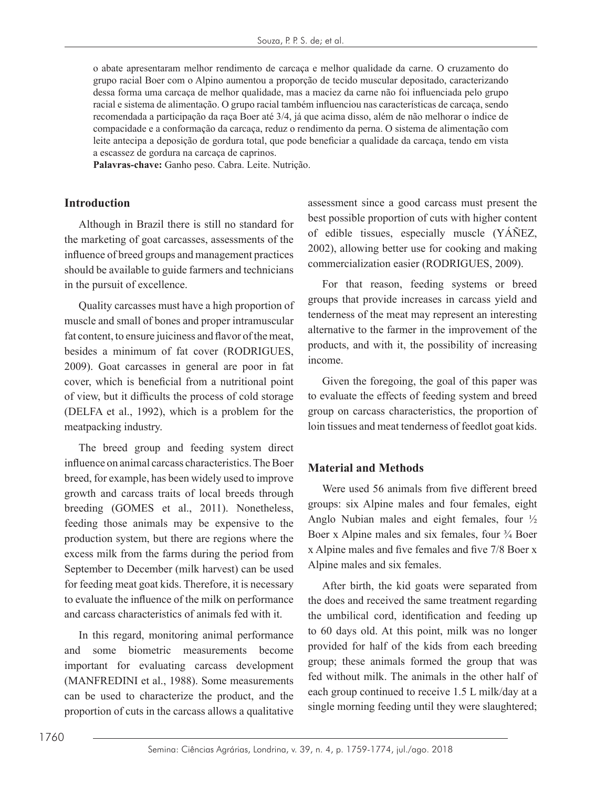o abate apresentaram melhor rendimento de carcaça e melhor qualidade da carne. O cruzamento do grupo racial Boer com o Alpino aumentou a proporção de tecido muscular depositado, caracterizando dessa forma uma carcaça de melhor qualidade, mas a maciez da carne não foi influenciada pelo grupo racial e sistema de alimentação. O grupo racial também influenciou nas características de carcaça, sendo recomendada a participação da raça Boer até 3/4, já que acima disso, além de não melhorar o índice de compacidade e a conformação da carcaça, reduz o rendimento da perna. O sistema de alimentação com leite antecipa a deposição de gordura total, que pode beneficiar a qualidade da carcaça, tendo em vista a escassez de gordura na carcaça de caprinos.

**Palavras-chave:** Ganho peso. Cabra. Leite. Nutrição.

#### **Introduction**

Although in Brazil there is still no standard for the marketing of goat carcasses, assessments of the influence of breed groups and management practices should be available to guide farmers and technicians in the pursuit of excellence.

Quality carcasses must have a high proportion of muscle and small of bones and proper intramuscular fat content, to ensure juiciness and flavor of the meat, besides a minimum of fat cover (RODRIGUES, 2009). Goat carcasses in general are poor in fat cover, which is beneficial from a nutritional point of view, but it difficults the process of cold storage (DELFA et al., 1992), which is a problem for the meatpacking industry.

The breed group and feeding system direct influence on animal carcass characteristics. The Boer breed, for example, has been widely used to improve growth and carcass traits of local breeds through breeding (GOMES et al., 2011). Nonetheless, feeding those animals may be expensive to the production system, but there are regions where the excess milk from the farms during the period from September to December (milk harvest) can be used for feeding meat goat kids. Therefore, it is necessary to evaluate the influence of the milk on performance and carcass characteristics of animals fed with it.

In this regard, monitoring animal performance and some biometric measurements become important for evaluating carcass development (MANFREDINI et al., 1988). Some measurements can be used to characterize the product, and the proportion of cuts in the carcass allows a qualitative assessment since a good carcass must present the best possible proportion of cuts with higher content of edible tissues, especially muscle (YÁÑEZ, 2002), allowing better use for cooking and making commercialization easier (RODRIGUES, 2009).

For that reason, feeding systems or breed groups that provide increases in carcass yield and tenderness of the meat may represent an interesting alternative to the farmer in the improvement of the products, and with it, the possibility of increasing income.

Given the foregoing, the goal of this paper was to evaluate the effects of feeding system and breed group on carcass characteristics, the proportion of loin tissues and meat tenderness of feedlot goat kids.

#### **Material and Methods**

Were used 56 animals from five different breed groups: six Alpine males and four females, eight Anglo Nubian males and eight females, four ½ Boer x Alpine males and six females, four  $\frac{3}{4}$  Boer x Alpine males and five females and five 7/8 Boer x Alpine males and six females.

After birth, the kid goats were separated from the does and received the same treatment regarding the umbilical cord, identification and feeding up to 60 days old. At this point, milk was no longer provided for half of the kids from each breeding group; these animals formed the group that was fed without milk. The animals in the other half of each group continued to receive 1.5 L milk/day at a single morning feeding until they were slaughtered;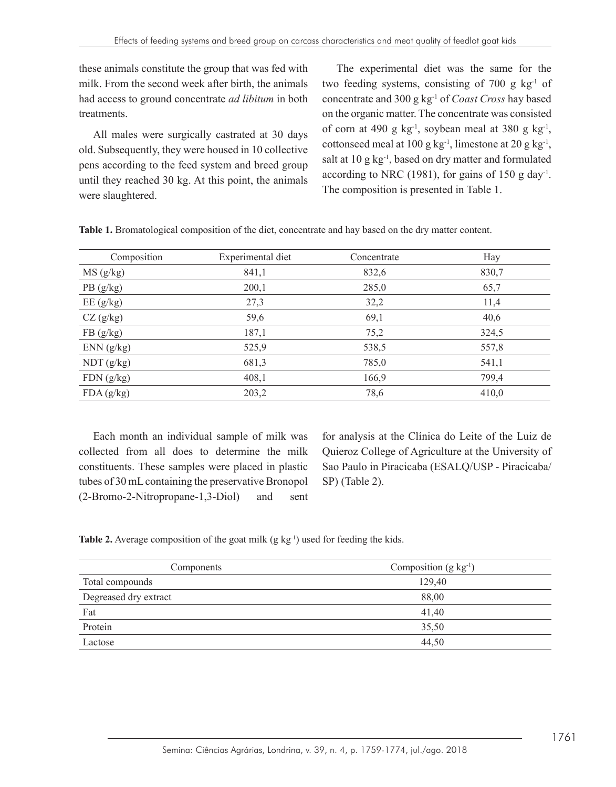these animals constitute the group that was fed with milk. From the second week after birth, the animals had access to ground concentrate *ad libitum* in both treatments.

All males were surgically castrated at 30 days old. Subsequently, they were housed in 10 collective pens according to the feed system and breed group until they reached 30 kg. At this point, the animals were slaughtered.

The experimental diet was the same for the two feeding systems, consisting of 700 g  $kg<sup>-1</sup>$  of concentrate and 300 g kg-1 of *Coast Cross* hay based on the organic matter. The concentrate was consisted of corn at 490 g kg<sup>-1</sup>, soybean meal at 380 g kg<sup>-1</sup>, cottonseed meal at 100 g kg<sup>-1</sup>, limestone at 20 g kg<sup>-1</sup>, salt at 10 g kg-1, based on dry matter and formulated according to NRC (1981), for gains of 150 g day<sup>-1</sup>. The composition is presented in Table 1.

| Composition  | Experimental diet | Concentrate | Hay   |
|--------------|-------------------|-------------|-------|
| MS(g/kg)     | 841,1             | 832,6       | 830,7 |
| $PB$ (g/kg)  | 200,1             | 285,0       | 65,7  |
| EE (g/kg)    | 27,3              | 32,2        | 11,4  |
| CZ(g/kg)     | 59,6              | 69,1        | 40,6  |
| FB (g/kg)    | 187,1             | 75,2        | 324,5 |
| ENN(g/kg)    | 525,9             | 538,5       | 557,8 |
| NDT $(g/kg)$ | 681,3             | 785,0       | 541,1 |
| $FDN$ (g/kg) | 408,1             | 166,9       | 799,4 |
| FDA(g/kg)    | 203,2             | 78,6        | 410,0 |

**Table 1.** Bromatological composition of the diet, concentrate and hay based on the dry matter content.

Each month an individual sample of milk was collected from all does to determine the milk constituents. These samples were placed in plastic tubes of 30 mL containing the preservative Bronopol (2-Bromo-2-Nitropropane-1,3-Diol) and sent for analysis at the Clínica do Leite of the Luiz de Quieroz College of Agriculture at the University of Sao Paulo in Piracicaba (ESALQ/USP - Piracicaba/ SP) (Table 2).

**Table 2.** Average composition of the goat milk  $(g \log^{-1})$  used for feeding the kids.

| Components            | Composition $(g \ kg^{-1})$ |
|-----------------------|-----------------------------|
| Total compounds       | 129.40                      |
| Degreased dry extract | 88,00                       |
| Fat                   | 41,40                       |
| Protein               | 35,50                       |
| Lactose               | 44,50                       |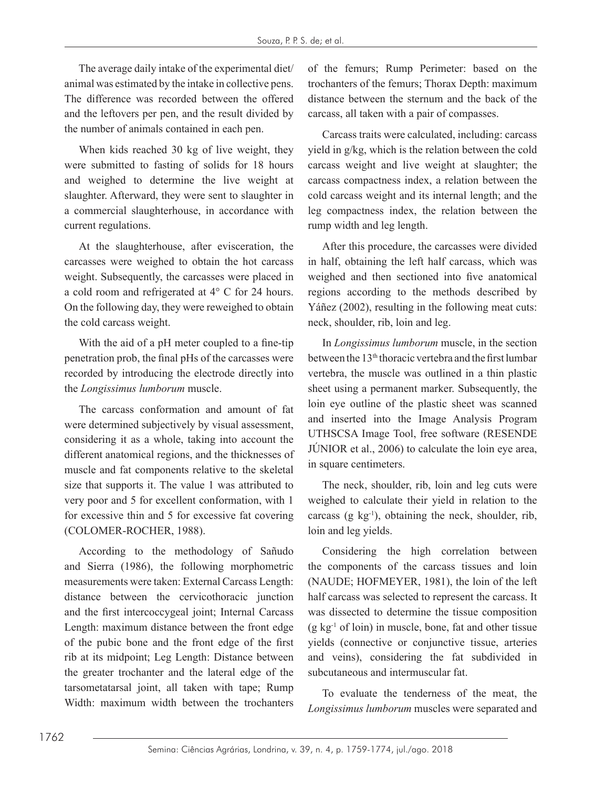The average daily intake of the experimental diet/ animal was estimated by the intake in collective pens. The difference was recorded between the offered and the leftovers per pen, and the result divided by the number of animals contained in each pen.

When kids reached 30 kg of live weight, they were submitted to fasting of solids for 18 hours and weighed to determine the live weight at slaughter. Afterward, they were sent to slaughter in a commercial slaughterhouse, in accordance with current regulations.

At the slaughterhouse, after evisceration, the carcasses were weighed to obtain the hot carcass weight. Subsequently, the carcasses were placed in a cold room and refrigerated at 4° C for 24 hours. On the following day, they were reweighed to obtain the cold carcass weight.

With the aid of a pH meter coupled to a fine-tip penetration prob, the final pHs of the carcasses were recorded by introducing the electrode directly into the *Longissimus lumborum* muscle.

The carcass conformation and amount of fat were determined subjectively by visual assessment, considering it as a whole, taking into account the different anatomical regions, and the thicknesses of muscle and fat components relative to the skeletal size that supports it. The value 1 was attributed to very poor and 5 for excellent conformation, with 1 for excessive thin and 5 for excessive fat covering (COLOMER-ROCHER, 1988).

According to the methodology of Sañudo and Sierra (1986), the following morphometric measurements were taken: External Carcass Length: distance between the cervicothoracic junction and the first intercoccygeal joint; Internal Carcass Length: maximum distance between the front edge of the pubic bone and the front edge of the first rib at its midpoint; Leg Length: Distance between the greater trochanter and the lateral edge of the tarsometatarsal joint, all taken with tape; Rump Width: maximum width between the trochanters

of the femurs; Rump Perimeter: based on the trochanters of the femurs; Thorax Depth: maximum distance between the sternum and the back of the carcass, all taken with a pair of compasses.

Carcass traits were calculated, including: carcass yield in g/kg, which is the relation between the cold carcass weight and live weight at slaughter; the carcass compactness index, a relation between the cold carcass weight and its internal length; and the leg compactness index, the relation between the rump width and leg length.

After this procedure, the carcasses were divided in half, obtaining the left half carcass, which was weighed and then sectioned into five anatomical regions according to the methods described by Yáñez (2002), resulting in the following meat cuts: neck, shoulder, rib, loin and leg.

In *Longissimus lumborum* muscle, in the section between the 13th thoracic vertebra and the first lumbar vertebra, the muscle was outlined in a thin plastic sheet using a permanent marker. Subsequently, the loin eye outline of the plastic sheet was scanned and inserted into the Image Analysis Program UTHSCSA Image Tool, free software (RESENDE JÚNIOR et al., 2006) to calculate the loin eye area, in square centimeters.

The neck, shoulder, rib, loin and leg cuts were weighed to calculate their yield in relation to the carcass  $(g \ kg^{-1})$ , obtaining the neck, shoulder, rib, loin and leg yields.

Considering the high correlation between the components of the carcass tissues and loin (NAUDE; HOFMEYER, 1981), the loin of the left half carcass was selected to represent the carcass. It was dissected to determine the tissue composition  $(g \text{ kg}^{-1}$  of loin) in muscle, bone, fat and other tissue yields (connective or conjunctive tissue, arteries and veins), considering the fat subdivided in subcutaneous and intermuscular fat.

To evaluate the tenderness of the meat, the *Longissimus lumborum* muscles were separated and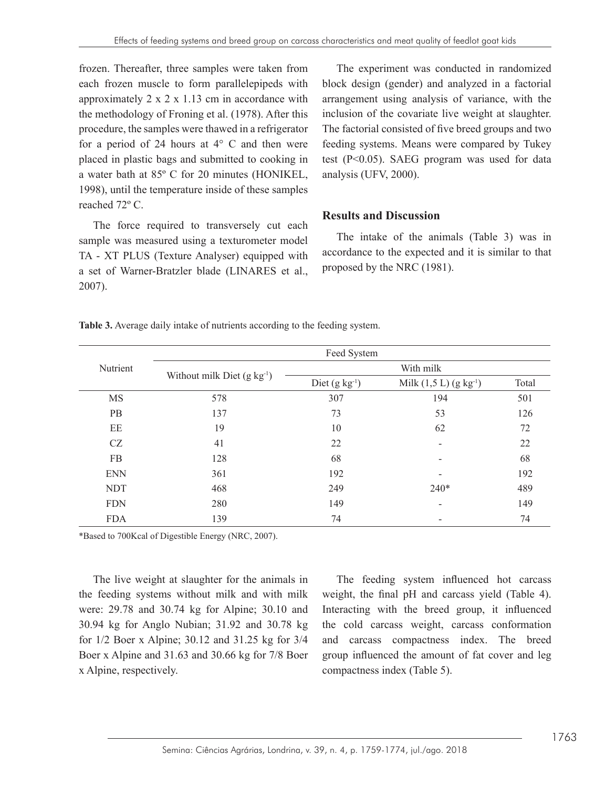frozen. Thereafter, three samples were taken from each frozen muscle to form parallelepipeds with approximately  $2 \times 2 \times 1.13$  cm in accordance with the methodology of Froning et al. (1978). After this procedure, the samples were thawed in a refrigerator for a period of 24 hours at 4° C and then were placed in plastic bags and submitted to cooking in a water bath at 85º C for 20 minutes (HONIKEL, 1998), until the temperature inside of these samples reached 72º C.

The force required to transversely cut each sample was measured using a texturometer model TA - XT PLUS (Texture Analyser) equipped with a set of Warner-Bratzler blade (LINARES et al., 2007).

The experiment was conducted in randomized block design (gender) and analyzed in a factorial arrangement using analysis of variance, with the inclusion of the covariate live weight at slaughter. The factorial consisted of five breed groups and two feeding systems. Means were compared by Tukey test (P<0.05). SAEG program was used for data analysis (UFV, 2000).

## **Results and Discussion**

The intake of the animals (Table 3) was in accordance to the expected and it is similar to that proposed by the NRC (1981).

|  |  | Table 3. Average daily intake of nutrients according to the feeding system. |
|--|--|-----------------------------------------------------------------------------|
|  |  |                                                                             |

|            | Feed System                       |                      |                           |       |  |  |  |  |
|------------|-----------------------------------|----------------------|---------------------------|-------|--|--|--|--|
| Nutrient   |                                   |                      | With milk                 |       |  |  |  |  |
|            | Without milk Diet $(g \ kg^{-1})$ | Diet $(g \ kg^{-1})$ | Milk $(1,5 L)$ $(g kg-1)$ | Total |  |  |  |  |
| <b>MS</b>  | 578                               | 307                  | 194                       | 501   |  |  |  |  |
| <b>PB</b>  | 137                               | 73                   | 53                        | 126   |  |  |  |  |
| EE         | 19                                | 10                   | 62                        | 72    |  |  |  |  |
| CZ         | 41                                | 22                   |                           | 22    |  |  |  |  |
| FB.        | 128                               | 68                   |                           | 68    |  |  |  |  |
| <b>ENN</b> | 361                               | 192                  |                           | 192   |  |  |  |  |
| <b>NDT</b> | 468                               | 249                  | $240*$                    | 489   |  |  |  |  |
| <b>FDN</b> | 280                               | 149                  |                           | 149   |  |  |  |  |
| <b>FDA</b> | 139                               | 74                   |                           | 74    |  |  |  |  |

\*Based to 700Kcal of Digestible Energy (NRC, 2007).

The live weight at slaughter for the animals in the feeding systems without milk and with milk were: 29.78 and 30.74 kg for Alpine; 30.10 and 30.94 kg for Anglo Nubian; 31.92 and 30.78 kg for 1/2 Boer x Alpine; 30.12 and 31.25 kg for 3/4 Boer x Alpine and 31.63 and 30.66 kg for 7/8 Boer x Alpine, respectively.

The feeding system influenced hot carcass weight, the final pH and carcass yield (Table 4). Interacting with the breed group, it influenced the cold carcass weight, carcass conformation and carcass compactness index. The breed group influenced the amount of fat cover and leg compactness index (Table 5).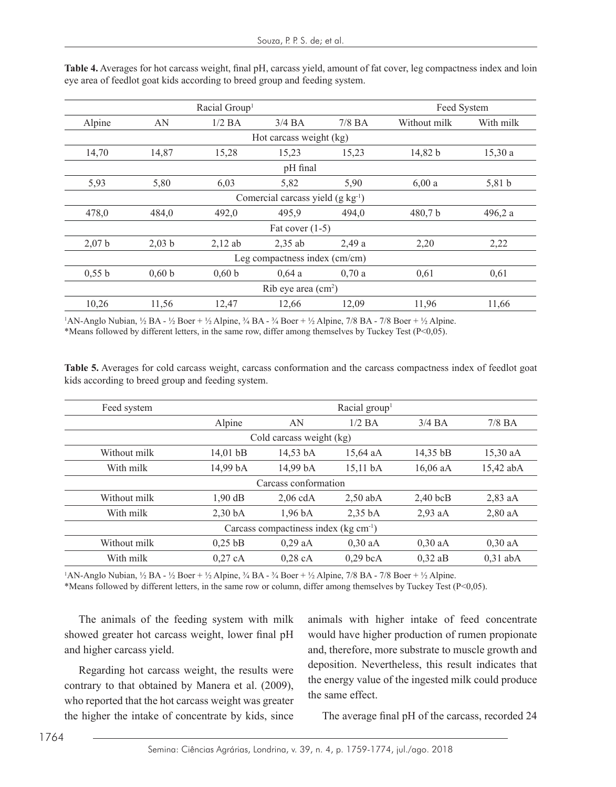|        |        | Racial Group <sup>1</sup> |                                         |          | Feed System  |           |
|--------|--------|---------------------------|-----------------------------------------|----------|--------------|-----------|
| Alpine | AN     | $1/2$ BA                  | 3/4 <sub>BA</sub>                       | $7/8$ BA | Without milk | With milk |
|        |        |                           | Hot carcass weight (kg)                 |          |              |           |
| 14,70  | 14,87  | 15,28                     | 15,23                                   | 15,23    | 14,82 b      | 15,30a    |
|        |        |                           | pH final                                |          |              |           |
| 5,93   | 5,80   | 6,03                      | 5,82                                    | 5,90     | 6,00a        | 5,81 b    |
|        |        |                           | Comercial carcass yield $(g \ kg^{-1})$ |          |              |           |
| 478,0  | 484,0  | 492,0                     | 495,9                                   | 494,0    | 480,7 b      | 496,2 a   |
|        |        |                           | Fat cover $(1-5)$                       |          |              |           |
| 2,07 b | 2,03 b | $2,12$ ab                 | $2,35$ ab                               | 2,49a    | 2,20         | 2,22      |
|        |        |                           | Leg compactness index (cm/cm)           |          |              |           |
| 0,55 b | 0,60 b | 0,60 b                    | 0.64a                                   | 0,70a    | 0,61         | 0,61      |
|        |        |                           | Rib eye area $\text{(cm}^2\text{)}$     |          |              |           |
| 10,26  | 11,56  | 12,47                     | 12,66                                   | 12,09    | 11,96        | 11,66     |

**Table 4.** Averages for hot carcass weight, final pH, carcass yield, amount of fat cover, leg compactness index and loin eye area of feedlot goat kids according to breed group and feeding system.

 $1 \text{AN-Anglo Nubian}, \frac{1}{2} \text{BA} - \frac{1}{2} \text{Boer} + \frac{1}{2} \text{Alpine}, \frac{3}{4} \text{BA} - \frac{3}{4} \text{Boer} + \frac{1}{2} \text{Alpine}, \frac{7}{8} \text{BA} - \frac{7}{8} \text{Boer} + \frac{1}{2} \text{Alpine}.$ \*Means followed by different letters, in the same row, differ among themselves by Tuckey Test (P<0,05).

| Feed system  | Racial group <sup>1</sup>                 |                          |                          |            |            |  |  |  |
|--------------|-------------------------------------------|--------------------------|--------------------------|------------|------------|--|--|--|
|              | Alpine                                    | AN                       | $1/2$ BA                 | $3/4$ BA   | $7/8$ BA   |  |  |  |
|              |                                           | Cold carcass weight (kg) |                          |            |            |  |  |  |
| Without milk | $14,01$ bB                                | 14,53 bA                 | 15,64 aA                 | 14,35 bB   | 15,30 aA   |  |  |  |
| With milk    | 14,99 bA                                  | 14,99 bA                 | $15,11 \text{ bA}$       | 16,06 aA   | 15,42 abA  |  |  |  |
|              |                                           | Carcass conformation     |                          |            |            |  |  |  |
| Without milk | $1,90$ dB                                 | $2,06$ cdA               | $2,50$ ab $\overline{A}$ | $2,40$ bcB | $2,83$ aA  |  |  |  |
| With milk    | $2,30 \text{ bA}$                         | 1.96 <sub>bA</sub>       | $2,35 \text{ bA}$        | $2,93$ aA  | $2,80$ aA  |  |  |  |
|              | Carcass compactiness index $(kg cm^{-1})$ |                          |                          |            |            |  |  |  |
| Without milk | $0,25$ bB                                 | $0,29$ aA                | $0,30$ aA                | $0,30$ aA  | $0,30$ aA  |  |  |  |
| With milk    | $0.27$ cA                                 | $0.28$ cA                | $0.29$ bcA               | $0,32$ aB  | $0,31$ abA |  |  |  |

**Table 5.** Averages for cold carcass weight, carcass conformation and the carcass compactness index of feedlot goat kids according to breed group and feeding system.

 $1 \text{AN-Anglo Nubian}, \frac{1}{2} \text{BA} - \frac{1}{2} \text{Boer} + \frac{1}{2} \text{Alpine}, \frac{3}{4} \text{BA} - \frac{3}{4} \text{Boer} + \frac{1}{2} \text{Alpine}, \frac{7}{8} \text{BA} - \frac{7}{8} \text{Boer} + \frac{1}{2} \text{Alpine}.$ 

\*Means followed by different letters, in the same row or column, differ among themselves by Tuckey Test (P<0,05).

The animals of the feeding system with milk showed greater hot carcass weight, lower final pH and higher carcass yield.

Regarding hot carcass weight, the results were contrary to that obtained by Manera et al. (2009), who reported that the hot carcass weight was greater the higher the intake of concentrate by kids, since animals with higher intake of feed concentrate would have higher production of rumen propionate and, therefore, more substrate to muscle growth and deposition. Nevertheless, this result indicates that the energy value of the ingested milk could produce the same effect.

The average final pH of the carcass, recorded 24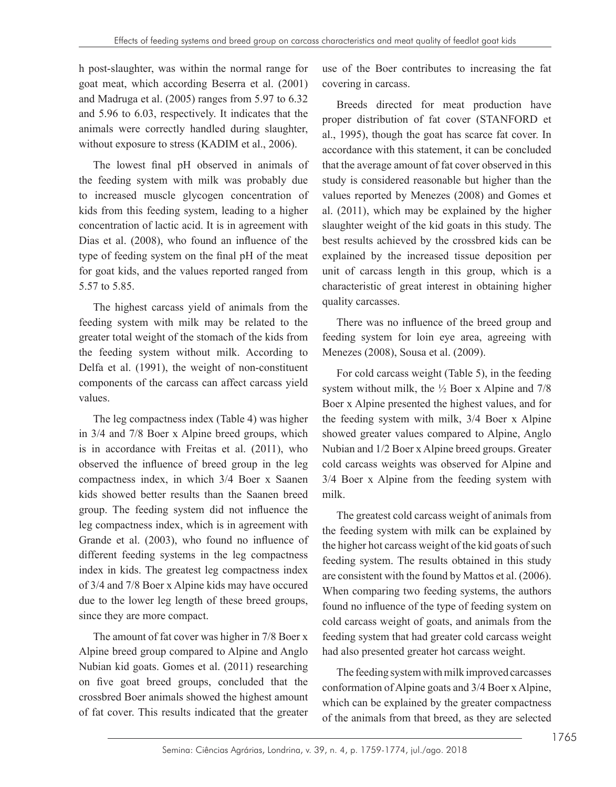h post-slaughter, was within the normal range for goat meat, which according Beserra et al. (2001) and Madruga et al. (2005) ranges from 5.97 to 6.32 and 5.96 to 6.03, respectively. It indicates that the animals were correctly handled during slaughter, without exposure to stress (KADIM et al., 2006).

The lowest final pH observed in animals of the feeding system with milk was probably due to increased muscle glycogen concentration of kids from this feeding system, leading to a higher concentration of lactic acid. It is in agreement with Dias et al. (2008), who found an influence of the type of feeding system on the final pH of the meat for goat kids, and the values reported ranged from 5.57 to 5.85.

The highest carcass yield of animals from the feeding system with milk may be related to the greater total weight of the stomach of the kids from the feeding system without milk. According to Delfa et al. (1991), the weight of non-constituent components of the carcass can affect carcass yield values.

The leg compactness index (Table 4) was higher in 3/4 and 7/8 Boer x Alpine breed groups, which is in accordance with Freitas et al. (2011), who observed the influence of breed group in the leg compactness index, in which 3/4 Boer x Saanen kids showed better results than the Saanen breed group. The feeding system did not influence the leg compactness index, which is in agreement with Grande et al. (2003), who found no influence of different feeding systems in the leg compactness index in kids. The greatest leg compactness index of 3/4 and 7/8 Boer x Alpine kids may have occured due to the lower leg length of these breed groups, since they are more compact.

The amount of fat cover was higher in 7/8 Boer x Alpine breed group compared to Alpine and Anglo Nubian kid goats. Gomes et al. (2011) researching on five goat breed groups, concluded that the crossbred Boer animals showed the highest amount of fat cover. This results indicated that the greater use of the Boer contributes to increasing the fat covering in carcass.

Breeds directed for meat production have proper distribution of fat cover (STANFORD et al., 1995), though the goat has scarce fat cover. In accordance with this statement, it can be concluded that the average amount of fat cover observed in this study is considered reasonable but higher than the values reported by Menezes (2008) and Gomes et al. (2011), which may be explained by the higher slaughter weight of the kid goats in this study. The best results achieved by the crossbred kids can be explained by the increased tissue deposition per unit of carcass length in this group, which is a characteristic of great interest in obtaining higher quality carcasses.

There was no influence of the breed group and feeding system for loin eye area, agreeing with Menezes (2008), Sousa et al. (2009).

For cold carcass weight (Table 5), in the feeding system without milk, the ½ Boer x Alpine and 7/8 Boer x Alpine presented the highest values, and for the feeding system with milk, 3/4 Boer x Alpine showed greater values compared to Alpine, Anglo Nubian and 1/2 Boer x Alpine breed groups. Greater cold carcass weights was observed for Alpine and 3/4 Boer x Alpine from the feeding system with milk.

The greatest cold carcass weight of animals from the feeding system with milk can be explained by the higher hot carcass weight of the kid goats of such feeding system. The results obtained in this study are consistent with the found by Mattos et al. (2006). When comparing two feeding systems, the authors found no influence of the type of feeding system on cold carcass weight of goats, and animals from the feeding system that had greater cold carcass weight had also presented greater hot carcass weight.

The feeding system with milk improved carcasses conformation of Alpine goats and 3/4 Boer x Alpine, which can be explained by the greater compactness of the animals from that breed, as they are selected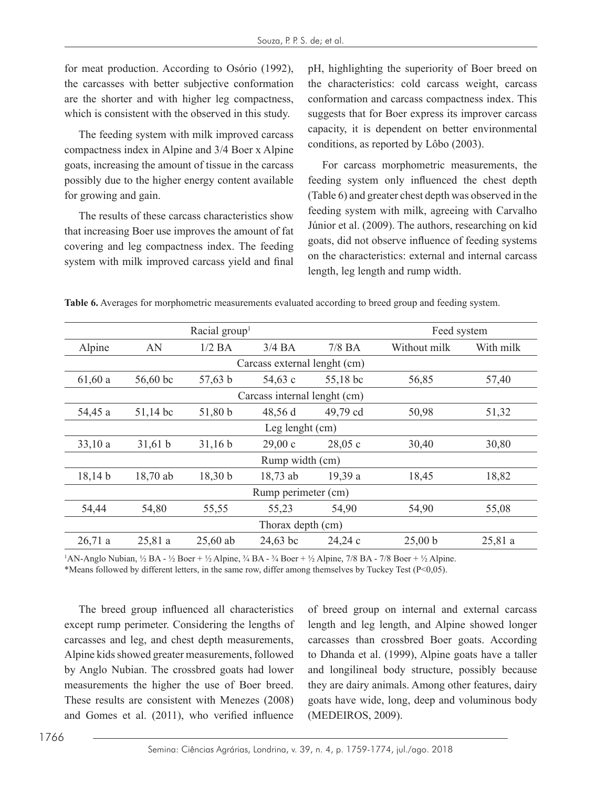for meat production. According to Osório (1992), the carcasses with better subjective conformation are the shorter and with higher leg compactness, which is consistent with the observed in this study.

The feeding system with milk improved carcass compactness index in Alpine and 3/4 Boer x Alpine goats, increasing the amount of tissue in the carcass possibly due to the higher energy content available for growing and gain.

The results of these carcass characteristics show that increasing Boer use improves the amount of fat covering and leg compactness index. The feeding system with milk improved carcass yield and final pH, highlighting the superiority of Boer breed on the characteristics: cold carcass weight, carcass conformation and carcass compactness index. This suggests that for Boer express its improver carcass capacity, it is dependent on better environmental conditions, as reported by Lôbo (2003).

For carcass morphometric measurements, the feeding system only influenced the chest depth (Table 6) and greater chest depth was observed in the feeding system with milk, agreeing with Carvalho Júnior et al. (2009). The authors, researching on kid goats, did not observe influence of feeding systems on the characteristics: external and internal carcass length, leg length and rump width.

**Table 6.** Averages for morphometric measurements evaluated according to breed group and feeding system.

|         |                     | Racial group <sup>1</sup> |                              |          | Feed system  |           |  |  |
|---------|---------------------|---------------------------|------------------------------|----------|--------------|-----------|--|--|
| Alpine  | AN                  | $1/2$ BA                  | $3/4$ BA                     | $7/8$ BA | Without milk | With milk |  |  |
|         |                     |                           | Carcass external lenght (cm) |          |              |           |  |  |
| 61,60a  | 56,60 bc            | 57,63 b                   | 54,63 c                      | 55,18 bc | 56,85        | 57,40     |  |  |
|         |                     |                           | Carcass internal lenght (cm) |          |              |           |  |  |
| 54,45 a | 51,14 bc            | 51,80 b                   | 48,56d                       | 49,79 cd | 50,98        | 51,32     |  |  |
|         |                     |                           | Leg lenght $(cm)$            |          |              |           |  |  |
| 33,10a  | 31,61 b             | 31,16 b                   | 29,00c                       | 28,05c   | 30,40        | 30,80     |  |  |
|         | Rump width (cm)     |                           |                              |          |              |           |  |  |
| 18,14 b | 18,70 ab            | 18,30 b                   | $18,73$ ab                   | 19,39 a  | 18,45        | 18,82     |  |  |
|         | Rump perimeter (cm) |                           |                              |          |              |           |  |  |
| 54,44   | 54,80               | 55,55                     | 55,23                        | 54,90    | 54,90        | 55,08     |  |  |
|         |                     |                           | Thorax depth (cm)            |          |              |           |  |  |
| 26,71a  | 25,81 a             | $25,60$ ab                | $24,63$ bc                   | 24,24 c  | 25,00 b      | 25,81 a   |  |  |

 $1 \text{AN-Anglo Nubian}, \frac{1}{2} \text{BA} - \frac{1}{2} \text{Boer} + \frac{1}{2} \text{Alpine}, \frac{3}{4} \text{BA} - \frac{3}{4} \text{Boer} + \frac{1}{2} \text{Alpine}, \frac{7}{8} \text{BA} - \frac{7}{8} \text{Boer} + \frac{1}{2} \text{Alpine}.$ \*Means followed by different letters, in the same row, differ among themselves by Tuckey Test (P<0,05).

The breed group influenced all characteristics except rump perimeter. Considering the lengths of carcasses and leg, and chest depth measurements, Alpine kids showed greater measurements, followed by Anglo Nubian. The crossbred goats had lower measurements the higher the use of Boer breed. These results are consistent with Menezes (2008) and Gomes et al. (2011), who verified influence

of breed group on internal and external carcass length and leg length, and Alpine showed longer carcasses than crossbred Boer goats. According to Dhanda et al. (1999), Alpine goats have a taller and longilineal body structure, possibly because they are dairy animals. Among other features, dairy goats have wide, long, deep and voluminous body (MEDEIROS, 2009).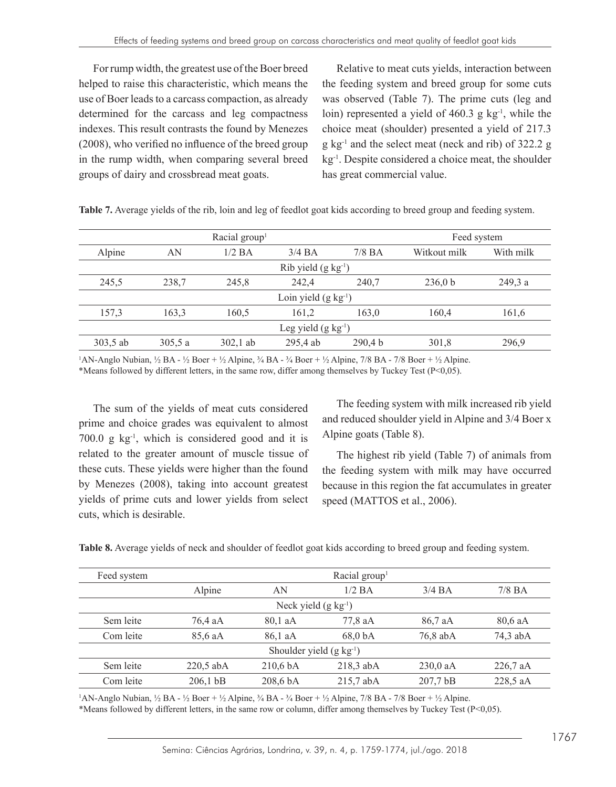For rump width, the greatest use of the Boer breed helped to raise this characteristic, which means the use of Boer leads to a carcass compaction, as already determined for the carcass and leg compactness indexes. This result contrasts the found by Menezes (2008), who verified no influence of the breed group in the rump width, when comparing several breed groups of dairy and crossbread meat goats.

Relative to meat cuts yields, interaction between the feeding system and breed group for some cuts was observed (Table 7). The prime cuts (leg and loin) represented a yield of  $460.3$  g kg<sup>-1</sup>, while the choice meat (shoulder) presented a yield of 217.3 g kg-1 and the select meat (neck and rib) of 322.2 g kg-1. Despite considered a choice meat, the shoulder has great commercial value.

|                            |        | Racial group <sup>1</sup> |                                  |          | Feed system  |           |  |
|----------------------------|--------|---------------------------|----------------------------------|----------|--------------|-----------|--|
| Alpine                     | AN     | $1/2$ BA                  | $3/4$ BA                         | $7/8$ BA | Witkout milk | With milk |  |
|                            |        |                           | Rib yield $(g \text{ kg}^{-1})$  |          |              |           |  |
| 245,5                      | 238,7  | 245,8                     | 242,4                            | 240,7    | 236,0 b      | 249.3a    |  |
|                            |        |                           | Loin yield $(g \text{ kg}^{-1})$ |          |              |           |  |
| 157,3                      | 163,3  | 160,5                     | 161,2                            | 163,0    | 160,4        | 161,6     |  |
| Leg yield $(g \, kg^{-1})$ |        |                           |                                  |          |              |           |  |
| 303,5 ab                   | 305,5a | $302,1$ ab                | 295,4 ab                         | 290,4 b  | 301,8        | 296,9     |  |
|                            |        |                           |                                  |          |              |           |  |

**Table 7.** Average yields of the rib, loin and leg of feedlot goat kids according to breed group and feeding system.

 $1 \text{AN-Anglo Nubian}, \frac{1}{2} \text{BA} - \frac{1}{2} \text{Boer} + \frac{1}{2} \text{Alpine}, \frac{3}{4} \text{BA} - \frac{3}{4} \text{Boer} + \frac{1}{2} \text{Alpine}, \frac{7}{8} \text{BA} - \frac{7}{8} \text{Boer} + \frac{1}{2} \text{Alpine}.$ \*Means followed by different letters, in the same row, differ among themselves by Tuckey Test (P<0,05).

The sum of the yields of meat cuts considered prime and choice grades was equivalent to almost  $700.0$  g kg<sup>-1</sup>, which is considered good and it is related to the greater amount of muscle tissue of these cuts. These yields were higher than the found by Menezes (2008), taking into account greatest yields of prime cuts and lower yields from select cuts, which is desirable.

The feeding system with milk increased rib yield and reduced shoulder yield in Alpine and 3/4 Boer x Alpine goats (Table 8).

The highest rib yield (Table 7) of animals from the feeding system with milk may have occurred because in this region the fat accumulates in greater speed (MATTOS et al., 2006).

**Table 8.** Average yields of neck and shoulder of feedlot goat kids according to breed group and feeding system.

| Feed system                          |             |                            | Racial group <sup>1</sup> |            |            |  |  |
|--------------------------------------|-------------|----------------------------|---------------------------|------------|------------|--|--|
|                                      | Alpine      | AN                         | $1/2$ BA                  | $3/4$ BA   | $7/8$ BA   |  |  |
|                                      |             | Neck yield $(g \ kg^{-1})$ |                           |            |            |  |  |
| Sem leite                            | 76,4 aA     | 80,1 aA                    | 77,8 aA                   | 86,7 aA    | 80,6 aA    |  |  |
| Com leite                            | 85,6 aA     | 86,1 aA                    | $68,0 \text{ bA}$         | 76,8 abA   | 74,3 abA   |  |  |
| Shoulder yield $(g \text{ kg}^{-1})$ |             |                            |                           |            |            |  |  |
| Sem leite                            | $220,5$ abA | $210,6 \text{ bA}$         | $218,3$ abA               | 230.0 aA   | $226,7$ aA |  |  |
| Com leite                            | $206,1$ bB  | 208,6 bA                   | 215,7 abA                 | $207,7$ bB | 228,5 aA   |  |  |

<sup>1</sup>AN-Anglo Nubian, ½ BA - ½ Boer + ½ Alpine, ¾ BA - ¾ Boer + ½ Alpine, 7/8 BA - 7/8 Boer + ½ Alpine.

\*Means followed by different letters, in the same row or column, differ among themselves by Tuckey Test (P<0,05).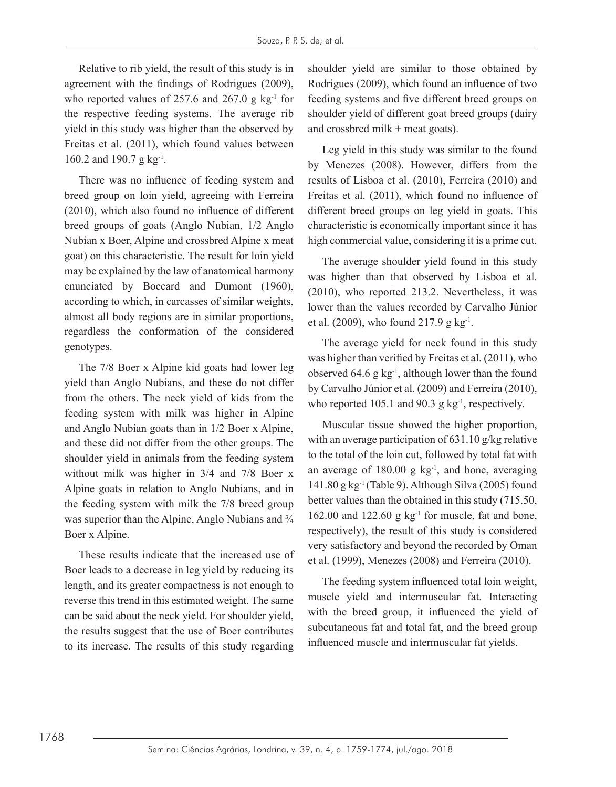Relative to rib yield, the result of this study is in agreement with the findings of Rodrigues (2009), who reported values of 257.6 and 267.0 g  $kg^{-1}$  for the respective feeding systems. The average rib yield in this study was higher than the observed by Freitas et al. (2011), which found values between 160.2 and 190.7 g kg-1.

There was no influence of feeding system and breed group on loin yield, agreeing with Ferreira (2010), which also found no influence of different breed groups of goats (Anglo Nubian, 1/2 Anglo Nubian x Boer, Alpine and crossbred Alpine x meat goat) on this characteristic. The result for loin yield may be explained by the law of anatomical harmony enunciated by Boccard and Dumont (1960), according to which, in carcasses of similar weights, almost all body regions are in similar proportions, regardless the conformation of the considered genotypes.

The 7/8 Boer x Alpine kid goats had lower leg yield than Anglo Nubians, and these do not differ from the others. The neck yield of kids from the feeding system with milk was higher in Alpine and Anglo Nubian goats than in 1/2 Boer x Alpine, and these did not differ from the other groups. The shoulder yield in animals from the feeding system without milk was higher in 3/4 and 7/8 Boer x Alpine goats in relation to Anglo Nubians, and in the feeding system with milk the 7/8 breed group was superior than the Alpine, Anglo Nubians and  $\frac{3}{4}$ Boer x Alpine.

These results indicate that the increased use of Boer leads to a decrease in leg yield by reducing its length, and its greater compactness is not enough to reverse this trend in this estimated weight. The same can be said about the neck yield. For shoulder yield, the results suggest that the use of Boer contributes to its increase. The results of this study regarding

shoulder yield are similar to those obtained by Rodrigues (2009), which found an influence of two feeding systems and five different breed groups on shoulder yield of different goat breed groups (dairy and crossbred milk + meat goats).

Leg yield in this study was similar to the found by Menezes (2008). However, differs from the results of Lisboa et al. (2010), Ferreira (2010) and Freitas et al. (2011), which found no influence of different breed groups on leg yield in goats. This characteristic is economically important since it has high commercial value, considering it is a prime cut.

The average shoulder yield found in this study was higher than that observed by Lisboa et al. (2010), who reported 213.2. Nevertheless, it was lower than the values recorded by Carvalho Júnior et al. (2009), who found  $217.9 \text{ g kg}^{-1}$ .

The average yield for neck found in this study was higher than verified by Freitas et al. (2011), who observed 64.6 g  $kg^{-1}$ , although lower than the found by Carvalho Júnior et al. (2009) and Ferreira (2010), who reported 105.1 and 90.3 g  $kg^{-1}$ , respectively.

Muscular tissue showed the higher proportion, with an average participation of 631.10 g/kg relative to the total of the loin cut, followed by total fat with an average of  $180.00$  g kg<sup>-1</sup>, and bone, averaging 141.80 g kg<sup>-1</sup> (Table 9). Although Silva (2005) found better values than the obtained in this study (715.50, 162.00 and 122.60 g  $kg<sup>-1</sup>$  for muscle, fat and bone, respectively), the result of this study is considered very satisfactory and beyond the recorded by Oman et al. (1999), Menezes (2008) and Ferreira (2010).

The feeding system influenced total loin weight, muscle yield and intermuscular fat. Interacting with the breed group, it influenced the yield of subcutaneous fat and total fat, and the breed group influenced muscle and intermuscular fat yields.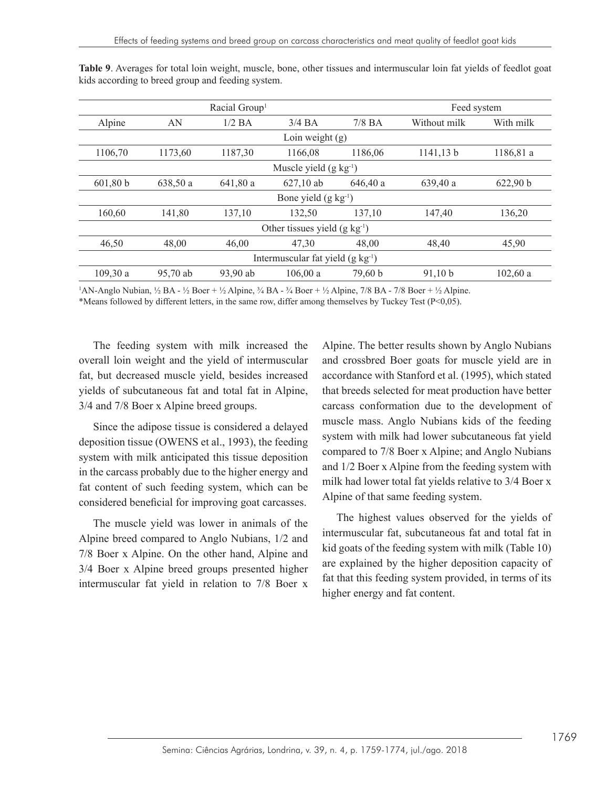|          |                                               | Racial Group <sup>1</sup> |                                    |          | Feed system  |           |  |  |
|----------|-----------------------------------------------|---------------------------|------------------------------------|----------|--------------|-----------|--|--|
| Alpine   | AN                                            | $1/2$ BA                  | $3/4$ BA                           | $7/8$ BA | Without milk | With milk |  |  |
|          |                                               |                           | Loin weight $(g)$                  |          |              |           |  |  |
| 1106,70  | 1173,60                                       | 1187,30                   | 1166,08                            | 1186,06  | 1141,13 b    | 1186,81 a |  |  |
|          |                                               |                           | Muscle yield $(g \text{ kg}^{-1})$ |          |              |           |  |  |
| 601,80 b | 638,50a                                       | 641.80 a                  | 627,10 ab                          | 646.40 a | 639,40 a     | 622,90 b  |  |  |
|          |                                               |                           | Bone yield $(g \text{ kg}^{-1})$   |          |              |           |  |  |
| 160,60   | 141.80                                        | 137,10                    | 132,50                             | 137.10   | 147,40       | 136,20    |  |  |
|          | Other tissues yield $(g \text{ kg}^{-1})$     |                           |                                    |          |              |           |  |  |
| 46,50    | 48,00                                         | 46,00                     | 47.30                              | 48,00    | 48,40        | 45,90     |  |  |
|          | Intermuscular fat yield $(g \text{ kg}^{-1})$ |                           |                                    |          |              |           |  |  |
| 109,30a  | 95,70 ab                                      | 93,90 ab                  | 106,00a                            | 79,60 b  | 91,10 b      | 102,60a   |  |  |

**Table 9**. Averages for total loin weight, muscle, bone, other tissues and intermuscular loin fat yields of feedlot goat kids according to breed group and feeding system.

 $1 \text{AN-Anglo Nubian}, \frac{1}{2} \text{BA} - \frac{1}{2} \text{Boer} + \frac{1}{2} \text{Alpine}, \frac{3}{4} \text{BA} - \frac{3}{4} \text{Boer} + \frac{1}{2} \text{Alpine}, \frac{7}{8} \text{BA} - \frac{7}{8} \text{Boer} + \frac{1}{2} \text{Alpine}.$ 

\*Means followed by different letters, in the same row, differ among themselves by Tuckey Test (P<0,05).

The feeding system with milk increased the overall loin weight and the yield of intermuscular fat, but decreased muscle yield, besides increased yields of subcutaneous fat and total fat in Alpine, 3/4 and 7/8 Boer x Alpine breed groups.

Since the adipose tissue is considered a delayed deposition tissue (OWENS et al., 1993), the feeding system with milk anticipated this tissue deposition in the carcass probably due to the higher energy and fat content of such feeding system, which can be considered beneficial for improving goat carcasses.

The muscle yield was lower in animals of the Alpine breed compared to Anglo Nubians, 1/2 and 7/8 Boer x Alpine. On the other hand, Alpine and 3/4 Boer x Alpine breed groups presented higher intermuscular fat yield in relation to 7/8 Boer x

Alpine. The better results shown by Anglo Nubians and crossbred Boer goats for muscle yield are in accordance with Stanford et al. (1995), which stated that breeds selected for meat production have better carcass conformation due to the development of muscle mass. Anglo Nubians kids of the feeding system with milk had lower subcutaneous fat yield compared to 7/8 Boer x Alpine; and Anglo Nubians and 1/2 Boer x Alpine from the feeding system with milk had lower total fat yields relative to 3/4 Boer x Alpine of that same feeding system.

The highest values observed for the yields of intermuscular fat, subcutaneous fat and total fat in kid goats of the feeding system with milk (Table 10) are explained by the higher deposition capacity of fat that this feeding system provided, in terms of its higher energy and fat content.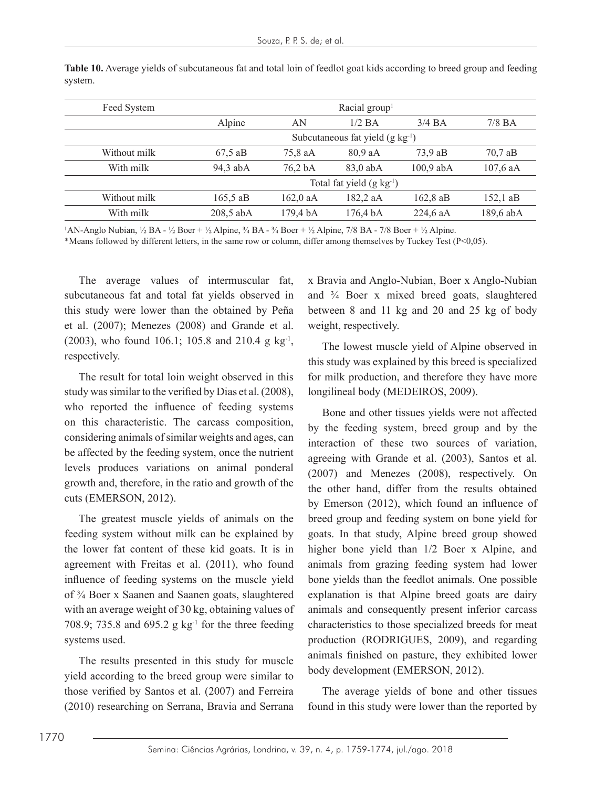| Feed System  | Racial group <sup>1</sup>             |                    |                                              |             |            |  |
|--------------|---------------------------------------|--------------------|----------------------------------------------|-------------|------------|--|
|              | Alpine                                | AN                 | $1/2$ BA                                     | $3/4$ BA    | $7/8$ BA   |  |
|              |                                       |                    | Subcutaneous fat yield $(g \text{ kg}^{-1})$ |             |            |  |
| Without milk | $67.5$ aB                             | 75,8 aA            | 80,9 aA                                      | 73,9 aB     | $70,7$ aB  |  |
| With milk    | 94,3 abA                              | 76.2 <sub>bA</sub> | $83.0$ abA                                   | $100.9$ abA | 107,6 aA   |  |
|              | Total fat yield $(g \text{ kg}^{-1})$ |                    |                                              |             |            |  |
| Without milk | $165, 5$ aB                           | $162,0$ aA         | 182,2 aA                                     | 162,8 aB    | $152,1$ aB |  |
| With milk    | 208,5 abA                             | 179.4 bA           | $176,4 \text{ bA}$                           | $224,6$ aA  | 189,6 abA  |  |

**Table 10.** Average yields of subcutaneous fat and total loin of feedlot goat kids according to breed group and feeding system.

 $1 \text{AN-Anglo Nubian}, \frac{1}{2} \text{BA} - \frac{1}{2} \text{Boer} + \frac{1}{2} \text{Alpine}, \frac{3}{4} \text{BA} - \frac{3}{4} \text{Boer} + \frac{1}{2} \text{Alpine}, \frac{7}{8} \text{BA} - \frac{7}{8} \text{Boer} + \frac{1}{2} \text{Alpine}.$ 

\*Means followed by different letters, in the same row or column, differ among themselves by Tuckey Test (P<0,05).

The average values of intermuscular fat, subcutaneous fat and total fat yields observed in this study were lower than the obtained by Peña et al. (2007); Menezes (2008) and Grande et al. (2003), who found 106.1; 105.8 and 210.4 g  $kg^{-1}$ , respectively.

The result for total loin weight observed in this study was similar to the verified by Dias et al. (2008), who reported the influence of feeding systems on this characteristic. The carcass composition, considering animals of similar weights and ages, can be affected by the feeding system, once the nutrient levels produces variations on animal ponderal growth and, therefore, in the ratio and growth of the cuts (EMERSON, 2012).

The greatest muscle yields of animals on the feeding system without milk can be explained by the lower fat content of these kid goats. It is in agreement with Freitas et al. (2011), who found influence of feeding systems on the muscle yield of ¾ Boer x Saanen and Saanen goats, slaughtered with an average weight of 30 kg, obtaining values of 708.9; 735.8 and 695.2 g kg-1 for the three feeding systems used.

The results presented in this study for muscle yield according to the breed group were similar to those verified by Santos et al. (2007) and Ferreira (2010) researching on Serrana, Bravia and Serrana

x Bravia and Anglo-Nubian, Boer x Anglo-Nubian and ¾ Boer x mixed breed goats, slaughtered between 8 and 11 kg and 20 and 25 kg of body weight, respectively.

The lowest muscle yield of Alpine observed in this study was explained by this breed is specialized for milk production, and therefore they have more longilineal body (MEDEIROS, 2009).

Bone and other tissues yields were not affected by the feeding system, breed group and by the interaction of these two sources of variation, agreeing with Grande et al. (2003), Santos et al. (2007) and Menezes (2008), respectively. On the other hand, differ from the results obtained by Emerson (2012), which found an influence of breed group and feeding system on bone yield for goats. In that study, Alpine breed group showed higher bone yield than 1/2 Boer x Alpine, and animals from grazing feeding system had lower bone yields than the feedlot animals. One possible explanation is that Alpine breed goats are dairy animals and consequently present inferior carcass characteristics to those specialized breeds for meat production (RODRIGUES, 2009), and regarding animals finished on pasture, they exhibited lower body development (EMERSON, 2012).

The average yields of bone and other tissues found in this study were lower than the reported by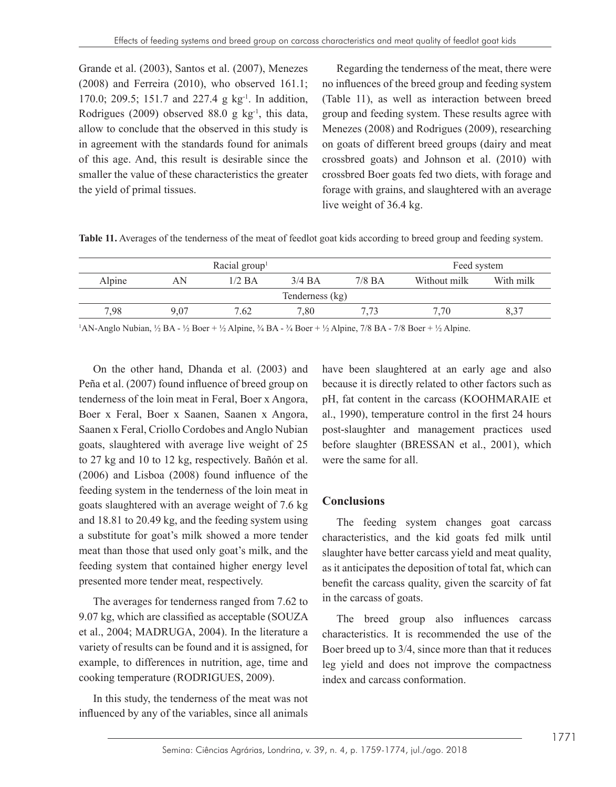Grande et al. (2003), Santos et al. (2007), Menezes (2008) and Ferreira (2010), who observed 161.1; 170.0; 209.5; 151.7 and 227.4 g  $kg^{-1}$ . In addition, Rodrigues (2009) observed 88.0 g  $kg^{-1}$ , this data, allow to conclude that the observed in this study is in agreement with the standards found for animals of this age. And, this result is desirable since the smaller the value of these characteristics the greater the yield of primal tissues.

Regarding the tenderness of the meat, there were no influences of the breed group and feeding system (Table 11), as well as interaction between breed group and feeding system. These results agree with Menezes (2008) and Rodrigues (2009), researching on goats of different breed groups (dairy and meat crossbred goats) and Johnson et al. (2010) with crossbred Boer goats fed two diets, with forage and forage with grains, and slaughtered with an average live weight of 36.4 kg.

**Table 11.** Averages of the tenderness of the meat of feedlot goat kids according to breed group and feeding system.

| Racial group <sup>1</sup> |          |          |          | Feed system     |           |
|---------------------------|----------|----------|----------|-----------------|-----------|
| ΑN                        | $1/2$ BA | $3/4$ BA | $7/8$ BA | Without milk    | With milk |
|                           |          |          |          |                 |           |
| 9.07                      | 7.62     | 7.80     |          | '.70            | 8,37      |
|                           |          |          |          | Tenderness (kg) |           |

 $1 \text{AN-Anglo Nubian}, \frac{1}{2} \text{BA} - \frac{1}{2} \text{Boer} + \frac{1}{2} \text{Alpine}, \frac{3}{4} \text{BA} - \frac{3}{4} \text{Boer} + \frac{1}{2} \text{Alpine}, \frac{7}{8} \text{BA} - \frac{7}{8} \text{Boer} + \frac{1}{2} \text{Alpine}.$ 

On the other hand, Dhanda et al. (2003) and Peña et al. (2007) found influence of breed group on tenderness of the loin meat in Feral, Boer x Angora, Boer x Feral, Boer x Saanen, Saanen x Angora, Saanen x Feral, Criollo Cordobes and Anglo Nubian goats, slaughtered with average live weight of 25 to 27 kg and 10 to 12 kg, respectively. Bañón et al. (2006) and Lisboa (2008) found influence of the feeding system in the tenderness of the loin meat in goats slaughtered with an average weight of 7.6 kg and 18.81 to 20.49 kg, and the feeding system using a substitute for goat's milk showed a more tender meat than those that used only goat's milk, and the feeding system that contained higher energy level presented more tender meat, respectively.

The averages for tenderness ranged from 7.62 to 9.07 kg, which are classified as acceptable (SOUZA et al., 2004; MADRUGA, 2004). In the literature a variety of results can be found and it is assigned, for example, to differences in nutrition, age, time and cooking temperature (RODRIGUES, 2009).

In this study, the tenderness of the meat was not influenced by any of the variables, since all animals have been slaughtered at an early age and also because it is directly related to other factors such as pH, fat content in the carcass (KOOHMARAIE et al., 1990), temperature control in the first 24 hours post-slaughter and management practices used before slaughter (BRESSAN et al., 2001), which were the same for all.

## **Conclusions**

The feeding system changes goat carcass characteristics, and the kid goats fed milk until slaughter have better carcass yield and meat quality, as it anticipates the deposition of total fat, which can benefit the carcass quality, given the scarcity of fat in the carcass of goats.

The breed group also influences carcass characteristics. It is recommended the use of the Boer breed up to 3/4, since more than that it reduces leg yield and does not improve the compactness index and carcass conformation.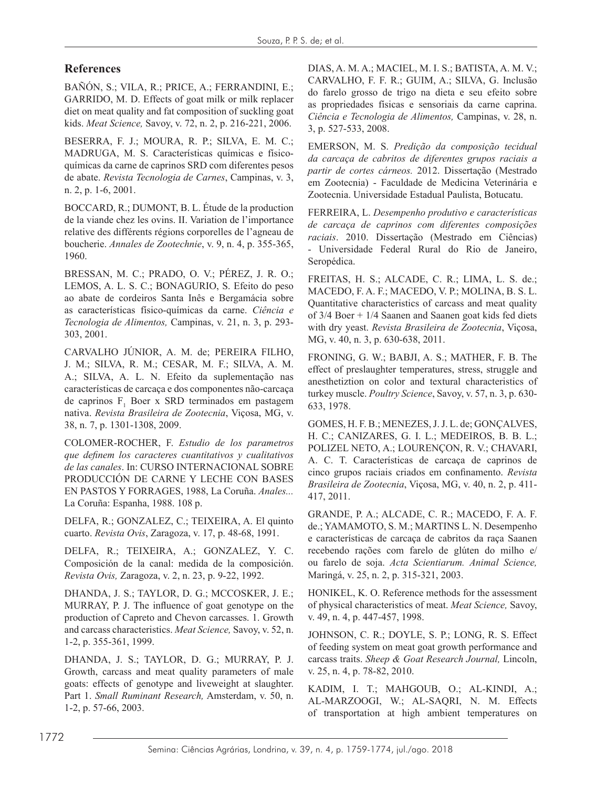## **References**

BAÑÓN, S.; VILA, R.; PRICE, A.; FERRANDINI, E.; GARRIDO, M. D. Effects of goat milk or milk replacer diet on meat quality and fat composition of suckling goat kids. *Meat Science,* Savoy, v. 72, n. 2, p. 216-221, 2006.

BESERRA, F. J.; MOURA, R. P.; SILVA, E. M. C.; MADRUGA, M. S. Características químicas e físicoquímicas da carne de caprinos SRD com diferentes pesos de abate. *Revista Tecnologia de Carnes*, Campinas, v. 3, n. 2, p. 1-6, 2001.

BOCCARD, R.; DUMONT, B. L. Étude de la production de la viande chez les ovins. II. Variation de l'importance relative des différents régions corporelles de l'agneau de boucherie. *Annales de Zootechnie*, v. 9, n. 4, p. 355-365, 1960.

BRESSAN, M. C.; PRADO, O. V.; PÉREZ, J. R. O.; LEMOS, A. L. S. C.; BONAGURIO, S. Efeito do peso ao abate de cordeiros Santa Inês e Bergamácia sobre as características físico-químicas da carne. *Ciência e Tecnologia de Alimentos,* Campinas, v. 21, n. 3, p. 293- 303, 2001.

CARVALHO JÚNIOR, A. M. de; PEREIRA FILHO, J. M.; SILVA, R. M.; CESAR, M. F.; SILVA, A. M. A.; SILVA, A. L. N. Efeito da suplementação nas características de carcaça e dos componentes não-carcaça de caprinos  $F_1$  Boer x SRD terminados em pastagem nativa. *Revista Brasileira de Zootecnia*, Viçosa, MG, v. 38, n. 7, p. 1301-1308, 2009.

COLOMER-ROCHER, F. *Estudio de los parametros que definem los caracteres cuantitativos y cualitativos de las canales*. In: CURSO INTERNACIONAL SOBRE PRODUCCIÓN DE CARNE Y LECHE CON BASES EN PASTOS Y FORRAGES, 1988, La Coruña. *Anales...* La Coruña: Espanha, 1988. 108 p.

DELFA, R.; GONZALEZ, C.; TEIXEIRA, A. El quinto cuarto. *Revista Ovis*, Zaragoza, v. 17, p. 48-68, 1991.

DELFA, R.; TEIXEIRA, A.; GONZALEZ, Y. C. Composición de la canal: medida de la composición. *Revista Ovis,* Zaragoza, v. 2, n. 23, p. 9-22, 1992.

DHANDA, J. S.; TAYLOR, D. G.; MCCOSKER, J. E.; MURRAY, P. J. The influence of goat genotype on the production of Capreto and Chevon carcasses. 1. Growth and carcass characteristics. *Meat Science,* Savoy, v. 52, n. 1-2, p. 355-361, 1999.

DHANDA, J. S.; TAYLOR, D. G.; MURRAY, P. J. Growth, carcass and meat quality parameters of male goats: effects of genotype and liveweight at slaughter. Part 1. *Small Ruminant Research,* Amsterdam, v. 50, n. 1-2, p. 57-66, 2003.

DIAS, A. M. A.; MACIEL, M. I. S.; BATISTA, A. M. V.; CARVALHO, F. F. R.; GUIM, A.; SILVA, G. Inclusão do farelo grosso de trigo na dieta e seu efeito sobre as propriedades físicas e sensoriais da carne caprina. *Ciência e Tecnologia de Alimentos,* Campinas, v. 28, n. 3, p. 527-533, 2008.

EMERSON, M. S. *Predição da composição tecidual da carcaça de cabritos de diferentes grupos raciais a partir de cortes cárneos.* 2012. Dissertação (Mestrado em Zootecnia) - Faculdade de Medicina Veterinária e Zootecnia. Universidade Estadual Paulista, Botucatu.

FERREIRA, L. *Desempenho produtivo e características de carcaça de caprinos com diferentes composições raciais*. 2010. Dissertação (Mestrado em Ciências) - Universidade Federal Rural do Rio de Janeiro, Seropédica.

FREITAS, H. S.; ALCADE, C. R.; LIMA, L. S. de.; MACEDO, F. A. F.; MACEDO, V. P.; MOLINA, B. S. L. Quantitative characteristics of carcass and meat quality of 3/4 Boer + 1/4 Saanen and Saanen goat kids fed diets with dry yeast. *Revista Brasileira de Zootecnia*, Viçosa, MG, v. 40, n. 3, p. 630-638, 2011.

FRONING, G. W.; BABJI, A. S.; MATHER, F. B. The effect of preslaughter temperatures, stress, struggle and anesthetiztion on color and textural characteristics of turkey muscle. *Poultry Science*, Savoy, v. 57, n. 3, p. 630- 633, 1978.

GOMES, H. F. B.; MENEZES, J. J. L. de; GONÇALVES, H. C.; CANIZARES, G. I. L.; MEDEIROS, B. B. L.; POLIZEL NETO, A.; LOURENÇON, R. V.; CHAVARI, A. C. T. Características de carcaça de caprinos de cinco grupos raciais criados em confinamento. *Revista Brasileira de Zootecnia*, Viçosa, MG, v. 40, n. 2, p. 411- 417, 2011.

GRANDE, P. A.; ALCADE, C. R.; MACEDO, F. A. F. de.; YAMAMOTO, S. M.; MARTINS L. N. Desempenho e características de carcaça de cabritos da raça Saanen recebendo rações com farelo de glúten do milho e/ ou farelo de soja. *Acta Scientiarum. Animal Science,* Maringá, v. 25, n. 2, p. 315-321, 2003.

HONIKEL, K. O. Reference methods for the assessment of physical characteristics of meat. *Meat Science,* Savoy, v. 49, n. 4, p. 447-457, 1998.

JOHNSON, C. R.; DOYLE, S. P.; LONG, R. S. Effect of feeding system on meat goat growth performance and carcass traits. *Sheep & Goat Research Journal,* Lincoln, v. 25, n. 4, p. 78-82, 2010.

KADIM, I. T.; MAHGOUB, O.; AL-KINDI, A.; AL-MARZOOGI, W.; AL-SAQRI, N. M. Effects of transportation at high ambient temperatures on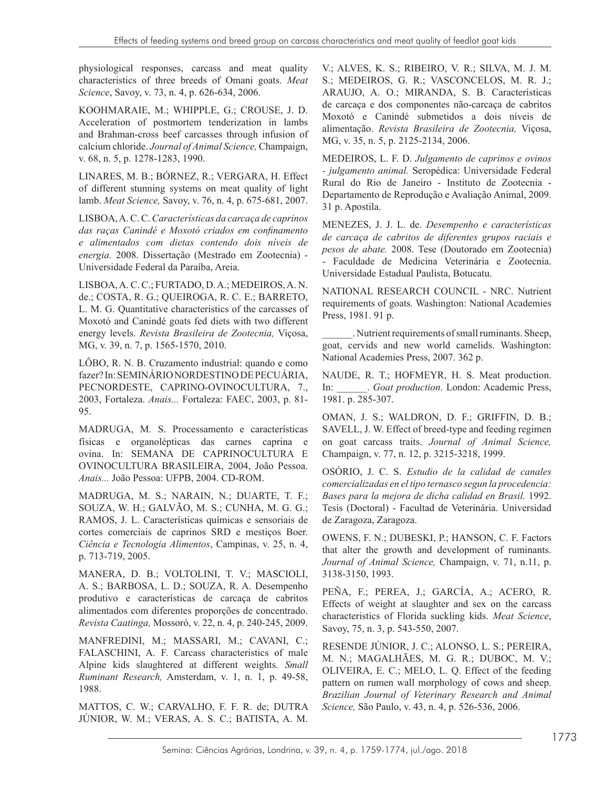physiological responses, carcass and meat quality characteristics of three breeds of Omani goats. *Meat Science*, Savoy, v. 73, n. 4, p. 626-634, 2006.

KOOHMARAIE, M.; WHIPPLE, G.; CROUSE, J. D. Acceleration of postmortem tenderization in lambs and Brahman-cross beef carcasses through infusion of calcium chloride. *Journal of Animal Science,* Champaign, v. 68, n. 5, p. 1278-1283, 1990.

LINARES, M. B.; BÓRNEZ, R.; VERGARA, H. Effect of different stunning systems on meat quality of light lamb. *Meat Science,* Savoy, v. 76, n. 4, p. 675-681, 2007.

LISBOA, A. C. C. *Características da carcaça de caprinos das raças Canindé e Moxotó criados em confinamento e alimentados com dietas contendo dois níveis de energia.* 2008. Dissertação (Mestrado em Zootecnia) - Universidade Federal da Paraíba, Areia.

LISBOA, A. C. C.; FURTADO, D. A.; MEDEIROS, A. N. de.; COSTA, R. G.; QUEIROGA, R. C. E.; BARRETO, L. M. G. Quantitative characteristics of the carcasses of Moxotó and Canindé goats fed diets with two different energy levels. *Revista Brasileira de Zootecnia,* Viçosa, MG, v. 39, n. 7, p. 1565-1570, 2010.

LÔBO, R. N. B. Cruzamento industrial: quando e como fazer? In: SEMINÁRIO NORDESTINO DE PECUÁRIA, PECNORDESTE, CAPRINO-OVINOCULTURA, 7., 2003, Fortaleza. *Anais...* Fortaleza: FAEC, 2003, p. 81- 95.

MADRUGA, M. S. Processamento e características físicas e organolépticas das carnes caprina e ovina. In: SEMANA DE CAPRINOCULTURA E OVINOCULTURA BRASILEIRA, 2004, João Pessoa. *Anais...* João Pessoa: UFPB, 2004. CD-ROM.

MADRUGA, M. S.; NARAIN, N.; DUARTE, T. F.; SOUZA, W. H.; GALVÃO, M. S.; CUNHA, M. G. G.; RAMOS, J. L. Características químicas e sensoriais de cortes comerciais de caprinos SRD e mestiços Boer. *Ciência e Tecnologia Alimentos*, Campinas, v. 25, n. 4, p. 713-719, 2005.

MANERA, D. B.; VOLTOLINI, T. V.; MASCIOLI, A. S.; BARBOSA, L. D.; SOUZA, R. A. Desempenho produtivo e características de carcaça de cabritos alimentados com diferentes proporções de concentrado. *Revista Caatinga,* Mossoró, v. 22, n. 4, p. 240-245, 2009.

MANFREDINI, M.; MASSARI, M.; CAVANI, C.; FALASCHINI, A. F. Carcass characteristics of male Alpine kids slaughtered at different weights. *Small Ruminant Research,* Amsterdam, v. 1, n. 1, p. 49-58, 1988.

MATTOS, C. W.; CARVALHO, F. F. R. de; DUTRA JÚNIOR, W. M.; VERAS, A. S. C.; BATISTA, A. M.

V.; ALVES, K. S.; RIBEIRO, V. R.; SILVA, M. J. M. S.; MEDEIROS, G. R.; VASCONCELOS, M. R. J.; ARAUJO, A. O.; MIRANDA, S. B. Características de carcaça e dos componentes não-carcaça de cabritos Moxotó e Canindé submetidos a dois níveis de alimentação. *Revista Brasileira de Zootecnia,* Viçosa, MG, v. 35, n. 5, p. 2125-2134, 2006.

MEDEIROS, L. F. D. *Julgamento de caprinos e ovinos - julgamento animal.* Seropédica: Universidade Federal Rural do Rio de Janeiro - Instituto de Zootecnia - Departamento de Reprodução e Avaliação Animal, 2009. 31 p. Apostila.

MENEZES, J. J. L. de. *Desempenho e características de carcaça de cabritos de diferentes grupos raciais e pesos de abate.* 2008. Tese (Doutorado em Zootecnia) - Faculdade de Medicina Veterinária e Zootecnia. Universidade Estadual Paulista, Botucatu.

NATIONAL RESEARCH COUNCIL - NRC. Nutrient requirements of goats*.* Washington: National Academies Press, 1981. 91 p.

\_\_\_\_\_\_. Nutrient requirements of small ruminants. Sheep, goat, cervids and new world camelids. Washington: National Academies Press, 2007. 362 p.

NAUDE, R. T.; HOFMEYR, H. S. Meat production. In: Goat production. London: Academic Press, 1981. p. 285-307.

OMAN, J. S.; WALDRON, D. F.; GRIFFIN, D. B.; SAVELL, J. W. Effect of breed-type and feeding regimen on goat carcass traits. *Journal of Animal Science,* Champaign, v. 77, n. 12, p. 3215-3218, 1999.

OSÓRIO, J. C. S. *Estudio de la calidad de canales comercializadas en el tipo ternasco segun la procedencia: Bases para la mejora de dicha calidad en Brasil.* 1992. Tesis (Doctoral) - Facultad de Veterinária. Universidad de Zaragoza, Zaragoza.

OWENS, F. N.; DUBESKI, P.; HANSON, C. F. Factors that alter the growth and development of ruminants. *Journal of Animal Science,* Champaign, v. 71, n.11, p. 3138-3150, 1993.

PEÑA, F.; PEREA, J.; GARCÍA, A.; ACERO, R. Effects of weight at slaughter and sex on the carcass characteristics of Florida suckling kids. *Meat Science*, Savoy, 75, n. 3, p. 543-550, 2007.

RESENDE JÚNIOR, J. C.; ALONSO, L. S.; PEREIRA, M. N.; MAGALHÃES, M. G. R.; DUBOC, M. V.; OLIVEIRA, E. C.; MELO, L. Q. Effect of the feeding pattern on rumen wall morphology of cows and sheep. *Brazilian Journal of Veterinary Research and Animal Science,* São Paulo, v. 43, n. 4, p. 526-536, 2006.